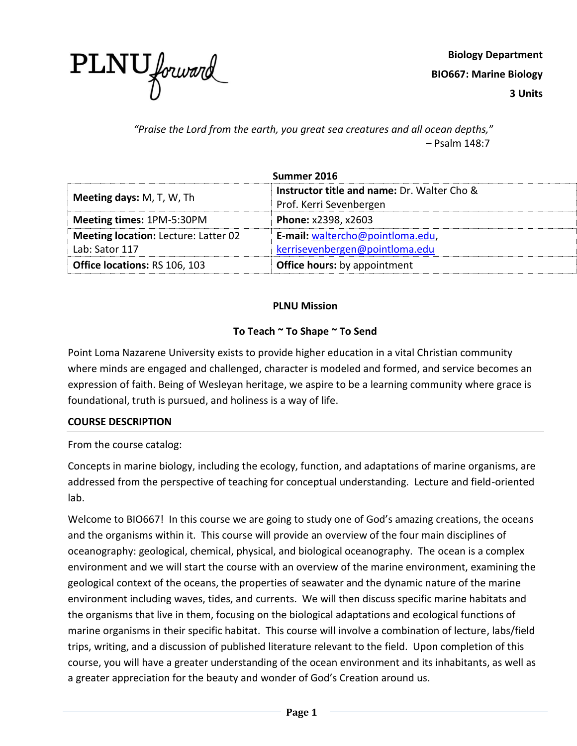

**Biology Department BIO667: Marine Biology 3 Units**

*"Praise the Lord from the earth, you great sea creatures and all ocean depths,*" – Psalm 148:7

| Summer 2016                                                                     |                                             |  |
|---------------------------------------------------------------------------------|---------------------------------------------|--|
| <b>Meeting days: M, T, W, Th</b>                                                | Instructor title and name: Dr. Walter Cho & |  |
|                                                                                 | Prof. Kerri Sevenbergen                     |  |
| <b>Meeting times: 1PM-5:30PM</b>                                                | Phone: x2398, x2603                         |  |
| E-mail: waltercho@pointloma.edu,<br><b>Meeting location: Lecture: Latter 02</b> |                                             |  |
| Lab: Sator 117                                                                  | kerrisevenbergen@pointloma.edu              |  |
| <b>Office locations: RS 106, 103</b>                                            | <b>Office hours:</b> by appointment         |  |

# **PLNU Mission**

# **To Teach ~ To Shape ~ To Send**

Point Loma Nazarene University exists to provide higher education in a vital Christian community where minds are engaged and challenged, character is modeled and formed, and service becomes an expression of faith. Being of Wesleyan heritage, we aspire to be a learning community where grace is foundational, truth is pursued, and holiness is a way of life.

# **COURSE DESCRIPTION**

From the course catalog:

Concepts in marine biology, including the ecology, function, and adaptations of marine organisms, are addressed from the perspective of teaching for conceptual understanding. Lecture and field-oriented lab.

Welcome to BIO667! In this course we are going to study one of God's amazing creations, the oceans and the organisms within it. This course will provide an overview of the four main disciplines of oceanography: geological, chemical, physical, and biological oceanography. The ocean is a complex environment and we will start the course with an overview of the marine environment, examining the geological context of the oceans, the properties of seawater and the dynamic nature of the marine environment including waves, tides, and currents. We will then discuss specific marine habitats and the organisms that live in them, focusing on the biological adaptations and ecological functions of marine organisms in their specific habitat. This course will involve a combination of lecture, labs/field trips, writing, and a discussion of published literature relevant to the field. Upon completion of this course, you will have a greater understanding of the ocean environment and its inhabitants, as well as a greater appreciation for the beauty and wonder of God's Creation around us.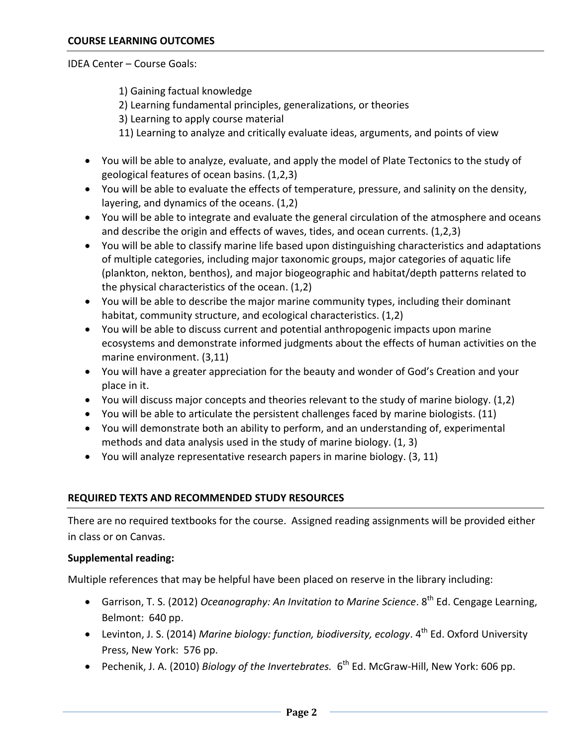#### IDEA Center – Course Goals:

1) Gaining factual knowledge

- 2) Learning fundamental principles, generalizations, or theories
- 3) Learning to apply course material
- 11) Learning to analyze and critically evaluate ideas, arguments, and points of view
- You will be able to analyze, evaluate, and apply the model of Plate Tectonics to the study of geological features of ocean basins. (1,2,3)
- You will be able to evaluate the effects of temperature, pressure, and salinity on the density, layering, and dynamics of the oceans. (1,2)
- You will be able to integrate and evaluate the general circulation of the atmosphere and oceans and describe the origin and effects of waves, tides, and ocean currents. (1,2,3)
- You will be able to classify marine life based upon distinguishing characteristics and adaptations of multiple categories, including major taxonomic groups, major categories of aquatic life (plankton, nekton, benthos), and major biogeographic and habitat/depth patterns related to the physical characteristics of the ocean. (1,2)
- You will be able to describe the major marine community types, including their dominant habitat, community structure, and ecological characteristics. (1,2)
- You will be able to discuss current and potential anthropogenic impacts upon marine ecosystems and demonstrate informed judgments about the effects of human activities on the marine environment. (3,11)
- You will have a greater appreciation for the beauty and wonder of God's Creation and your place in it.
- You will discuss major concepts and theories relevant to the study of marine biology. (1,2)
- You will be able to articulate the persistent challenges faced by marine biologists. (11)
- You will demonstrate both an ability to perform, and an understanding of, experimental methods and data analysis used in the study of marine biology. (1, 3)
- You will analyze representative research papers in marine biology. (3, 11)

#### **REQUIRED TEXTS AND RECOMMENDED STUDY RESOURCES**

There are no required textbooks for the course. Assigned reading assignments will be provided either in class or on Canvas.

#### **Supplemental reading:**

Multiple references that may be helpful have been placed on reserve in the library including:

- **•** Garrison, T. S. (2012) *Oceanography: An Invitation to Marine Science*. 8<sup>th</sup> Ed. Cengage Learning. Belmont: 640 pp.
- Levinton, J. S. (2014) *Marine biology: function, biodiversity, ecology*. 4<sup>th</sup> Ed. Oxford University Press, New York: 576 pp.
- Pechenik, J. A. (2010) *Biology of the Invertebrates.* 6<sup>th</sup> Ed. McGraw-Hill, New York: 606 pp.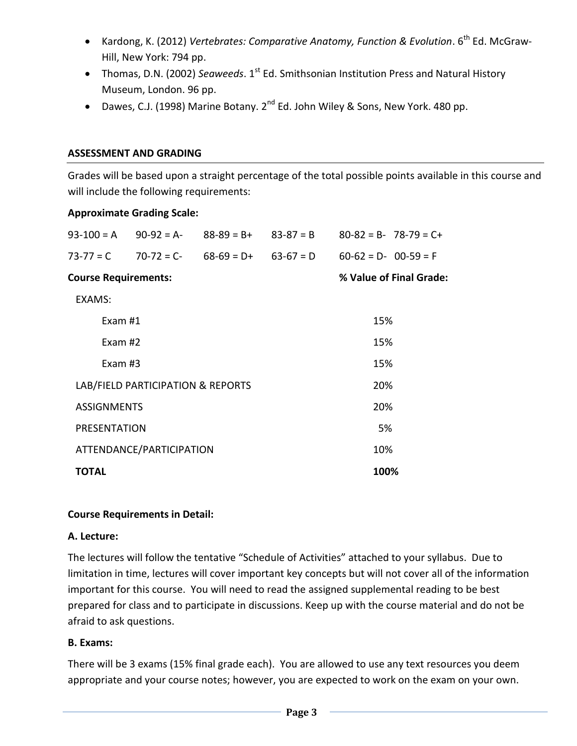- Kardong, K. (2012) *Vertebrates: Comparative Anatomy, Function & Evolution*. 6<sup>th</sup> Ed. McGraw-Hill, New York: 794 pp.
- Thomas, D.N. (2002) *Seaweeds*. 1<sup>st</sup> Ed. Smithsonian Institution Press and Natural History Museum, London. 96 pp.
- Dawes, C.J. (1998) Marine Botany.  $2^{nd}$  Ed. John Wiley & Sons, New York. 480 pp.

# **ASSESSMENT AND GRADING**

Grades will be based upon a straight percentage of the total possible points available in this course and will include the following requirements:

# **Approximate Grading Scale:**

| $93 - 100 = A$                    | $90-92 = A-$ | $88 - 89 = B +$ | $83 - 87 = B$ |                         | $80-82 = B - 78-79 = C +$ |  |
|-----------------------------------|--------------|-----------------|---------------|-------------------------|---------------------------|--|
| $73 - 77 = C$                     | $70-72 = C$  | $68-69 = D+$    | $63-67 = D$   | $60-62 = D - 00-59 = F$ |                           |  |
| <b>Course Requirements:</b>       |              |                 |               | % Value of Final Grade: |                           |  |
| EXAMS:                            |              |                 |               |                         |                           |  |
| Exam $#1$                         |              |                 |               | 15%                     |                           |  |
| Exam #2                           |              |                 |               | 15%                     |                           |  |
| Exam $#3$                         |              |                 |               | 15%                     |                           |  |
| LAB/FIELD PARTICIPATION & REPORTS |              |                 |               | 20%                     |                           |  |
| <b>ASSIGNMENTS</b>                |              |                 |               | 20%                     |                           |  |
| PRESENTATION                      |              |                 |               | 5%                      |                           |  |
| ATTENDANCE/PARTICIPATION          |              |                 |               | 10%                     |                           |  |
| TOTAL                             |              |                 |               | 100%                    |                           |  |

# **Course Requirements in Detail:**

# **A. Lecture:**

The lectures will follow the tentative "Schedule of Activities" attached to your syllabus. Due to limitation in time, lectures will cover important key concepts but will not cover all of the information important for this course. You will need to read the assigned supplemental reading to be best prepared for class and to participate in discussions. Keep up with the course material and do not be afraid to ask questions.

# **B. Exams:**

There will be 3 exams (15% final grade each). You are allowed to use any text resources you deem appropriate and your course notes; however, you are expected to work on the exam on your own.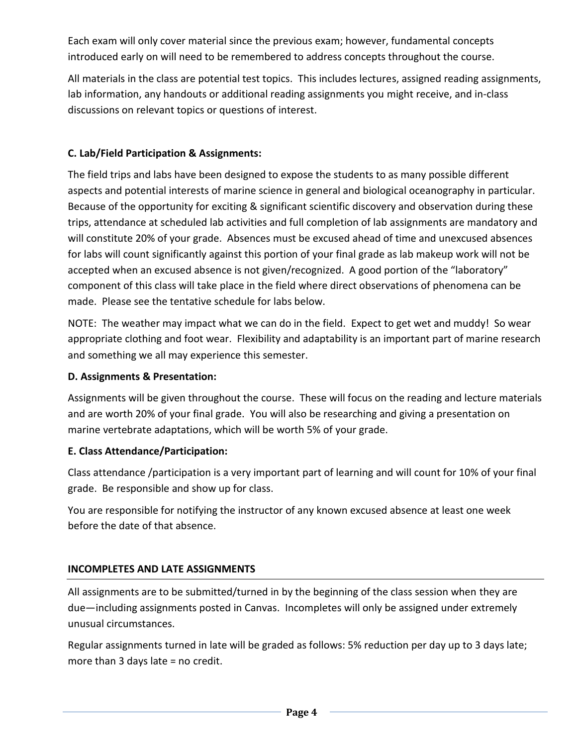Each exam will only cover material since the previous exam; however, fundamental concepts introduced early on will need to be remembered to address concepts throughout the course.

All materials in the class are potential test topics. This includes lectures, assigned reading assignments, lab information, any handouts or additional reading assignments you might receive, and in-class discussions on relevant topics or questions of interest.

# **C. Lab/Field Participation & Assignments:**

The field trips and labs have been designed to expose the students to as many possible different aspects and potential interests of marine science in general and biological oceanography in particular. Because of the opportunity for exciting & significant scientific discovery and observation during these trips, attendance at scheduled lab activities and full completion of lab assignments are mandatory and will constitute 20% of your grade. Absences must be excused ahead of time and unexcused absences for labs will count significantly against this portion of your final grade as lab makeup work will not be accepted when an excused absence is not given/recognized. A good portion of the "laboratory" component of this class will take place in the field where direct observations of phenomena can be made. Please see the tentative schedule for labs below.

NOTE: The weather may impact what we can do in the field. Expect to get wet and muddy! So wear appropriate clothing and foot wear. Flexibility and adaptability is an important part of marine research and something we all may experience this semester.

# **D. Assignments & Presentation:**

Assignments will be given throughout the course. These will focus on the reading and lecture materials and are worth 20% of your final grade. You will also be researching and giving a presentation on marine vertebrate adaptations, which will be worth 5% of your grade.

# **E. Class Attendance/Participation:**

Class attendance /participation is a very important part of learning and will count for 10% of your final grade. Be responsible and show up for class.

You are responsible for notifying the instructor of any known excused absence at least one week before the date of that absence.

# **INCOMPLETES AND LATE ASSIGNMENTS**

All assignments are to be submitted/turned in by the beginning of the class session when they are due—including assignments posted in Canvas. Incompletes will only be assigned under extremely unusual circumstances.

Regular assignments turned in late will be graded as follows: 5% reduction per day up to 3 days late; more than 3 days late = no credit.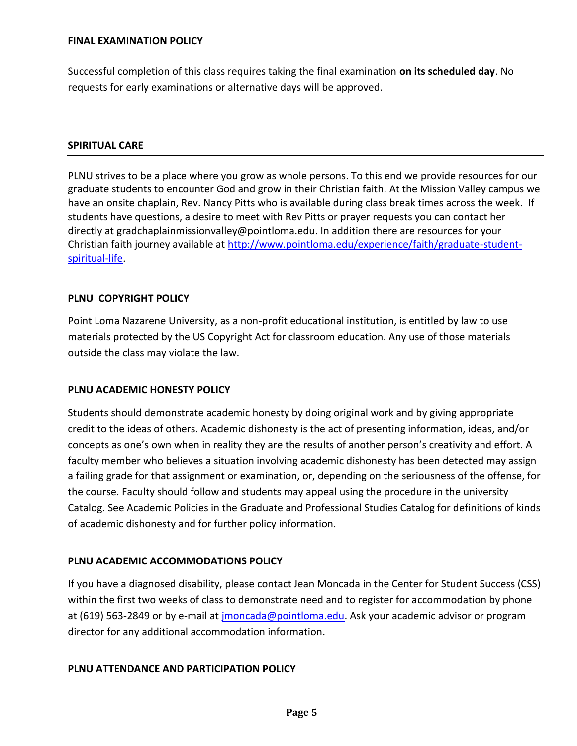Successful completion of this class requires taking the final examination **on its scheduled day**. No requests for early examinations or alternative days will be approved.

#### **SPIRITUAL CARE**

PLNU strives to be a place where you grow as whole persons. To this end we provide resources for our graduate students to encounter God and grow in their Christian faith. At the Mission Valley campus we have an onsite chaplain, Rev. Nancy Pitts who is available during class break times across the week. If students have questions, a desire to meet with Rev Pitts or prayer requests you can contact her directly at [gradchaplainmissionvalley@pointloma.edu.](mailto:gradchaplainmissionvalley@pointloma.edu) In addition there are resources for your Christian faith journey available at [http://www.pointloma.edu/experience/faith/graduate-student](http://www.pointloma.edu/experience/faith/graduate-student-spiritual-life)[spiritual-life.](http://www.pointloma.edu/experience/faith/graduate-student-spiritual-life)

# **PLNU COPYRIGHT POLICY**

Point Loma Nazarene University, as a non-profit educational institution, is entitled by law to use materials protected by the US Copyright Act for classroom education. Any use of those materials outside the class may violate the law.

#### **PLNU ACADEMIC HONESTY POLICY**

Students should demonstrate academic honesty by doing original work and by giving appropriate credit to the ideas of others. Academic dishonesty is the act of presenting information, ideas, and/or concepts as one's own when in reality they are the results of another person's creativity and effort. A faculty member who believes a situation involving academic dishonesty has been detected may assign a failing grade for that assignment or examination, or, depending on the seriousness of the offense, for the course. Faculty should follow and students may appeal using the procedure in the university Catalog. See Academic Policies in the Graduate and Professional Studies Catalog for definitions of kinds of academic dishonesty and for further policy information.

# **PLNU ACADEMIC ACCOMMODATIONS POLICY**

If you have a diagnosed disability, please contact Jean Moncada in the Center for Student Success (CSS) within the first two weeks of class to demonstrate need and to register for accommodation by phone at (619) 563-2849 or by e-mail at [jmoncada@pointloma.edu.](mailto:jmoncada@pointloma.edu) Ask your academic advisor or program director for any additional accommodation information.

# **PLNU ATTENDANCE AND PARTICIPATION POLICY**